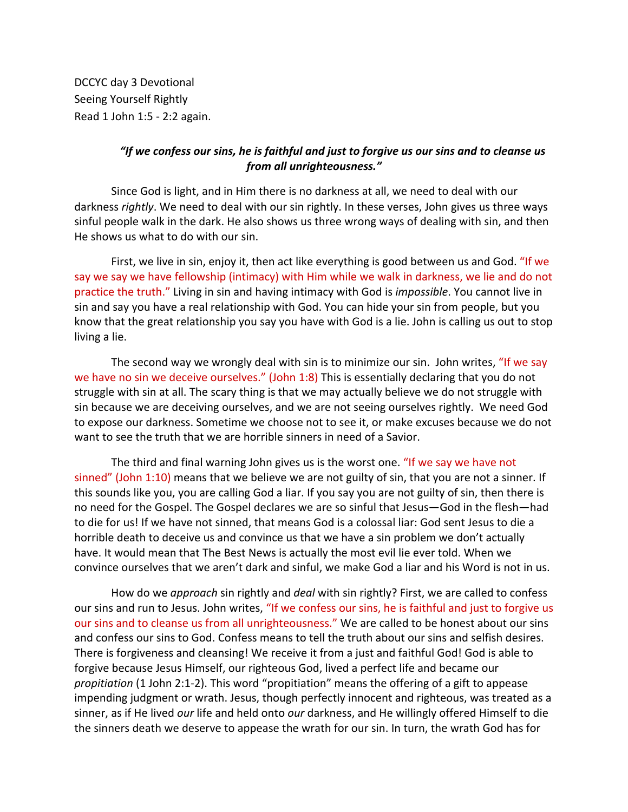DCCYC day 3 Devotional Seeing Yourself Rightly Read 1 John 1:5 - 2:2 again.

## *"If we confess our sins, he is faithful and just to forgive us our sins and to cleanse us from all unrighteousness."*

Since God is light, and in Him there is no darkness at all, we need to deal with our darkness *rightly*. We need to deal with our sin rightly. In these verses, John gives us three ways sinful people walk in the dark. He also shows us three wrong ways of dealing with sin, and then He shows us what to do with our sin.

First, we live in sin, enjoy it, then act like everything is good between us and God. "If we say we say we have fellowship (intimacy) with Him while we walk in darkness, we lie and do not practice the truth." Living in sin and having intimacy with God is *impossible*. You cannot live in sin and say you have a real relationship with God. You can hide your sin from people, but you know that the great relationship you say you have with God is a lie. John is calling us out to stop living a lie.

The second way we wrongly deal with sin is to minimize our sin. John writes, "If we say we have no sin we deceive ourselves." (John 1:8) This is essentially declaring that you do not struggle with sin at all. The scary thing is that we may actually believe we do not struggle with sin because we are deceiving ourselves, and we are not seeing ourselves rightly. We need God to expose our darkness. Sometime we choose not to see it, or make excuses because we do not want to see the truth that we are horrible sinners in need of a Savior.

The third and final warning John gives us is the worst one. "If we say we have not sinned" (John 1:10) means that we believe we are not guilty of sin, that you are not a sinner. If this sounds like you, you are calling God a liar. If you say you are not guilty of sin, then there is no need for the Gospel. The Gospel declares we are so sinful that Jesus—God in the flesh—had to die for us! If we have not sinned, that means God is a colossal liar: God sent Jesus to die a horrible death to deceive us and convince us that we have a sin problem we don't actually have. It would mean that The Best News is actually the most evil lie ever told. When we convince ourselves that we aren't dark and sinful, we make God a liar and his Word is not in us.

How do we *approach* sin rightly and *deal* with sin rightly? First, we are called to confess our sins and run to Jesus. John writes, "If we confess our sins, he is faithful and just to forgive us our sins and to cleanse us from all unrighteousness." We are called to be honest about our sins and confess our sins to God. Confess means to tell the truth about our sins and selfish desires. There is forgiveness and cleansing! We receive it from a just and faithful God! God is able to forgive because Jesus Himself, our righteous God, lived a perfect life and became our *propitiation* (1 John 2:1-2). This word "propitiation" means the offering of a gift to appease impending judgment or wrath. Jesus, though perfectly innocent and righteous, was treated as a sinner, as if He lived *our* life and held onto *our* darkness, and He willingly offered Himself to die the sinners death we deserve to appease the wrath for our sin. In turn, the wrath God has for